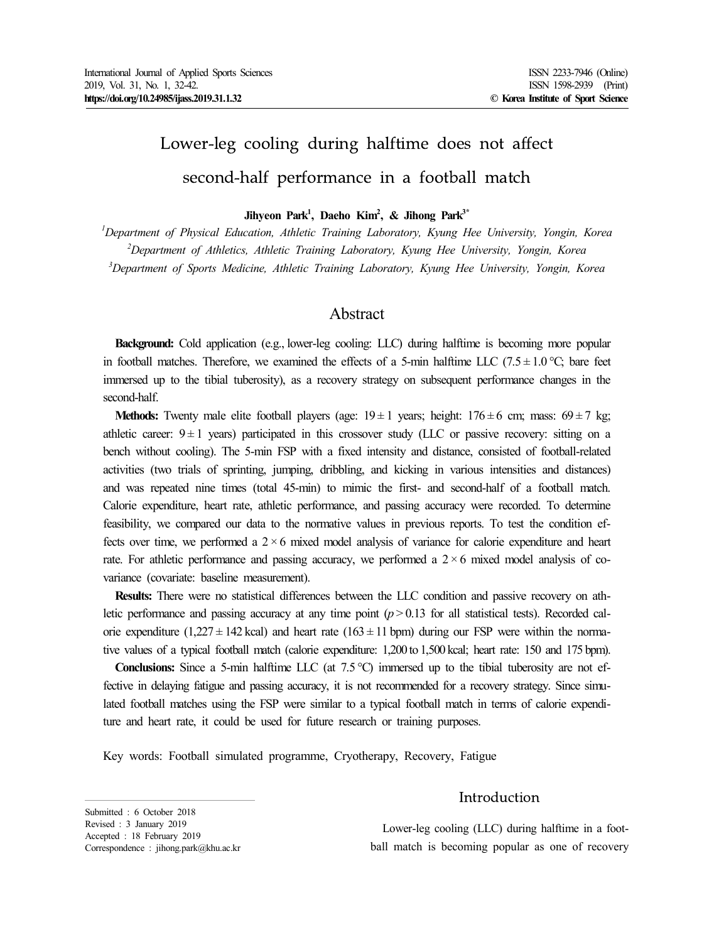# Lower-leg cooling during halftime does not affect second-half performance in a football match

**Jihyeon Park<sup>1</sup> , Daeho Kim<sup>2</sup> , & Jihong Park3\***

*<sup>1</sup>Department of Physical Education, Athletic Training Laboratory, Kyung Hee University, Yongin, Korea <sup>2</sup>Department of Athletics, Athletic Training Laboratory, Kyung Hee University, Yongin, Korea <sup>3</sup>Department of Sports Medicine, Athletic Training Laboratory, Kyung Hee University, Yongin, Korea*

# Abstract

**Background:** Cold application (e.g., lower-leg cooling: LLC) during halftime is becoming more popular in football matches. Therefore, we examined the effects of a 5-min halftime LLC (7.5  $\pm$  1.0 °C; bare feet immersed up to the tibial tuberosity), as a recovery strategy on subsequent performance changes in the second-half.

**Methods:** Twenty male elite football players (age:  $19 \pm 1$  years; height:  $176 \pm 6$  cm; mass:  $69 \pm 7$  kg; athletic career:  $9 \pm 1$  years) participated in this crossover study (LLC or passive recovery: sitting on a bench without cooling). The 5-min FSP with a fixed intensity and distance, consisted of football-related activities (two trials of sprinting, jumping, dribbling, and kicking in various intensities and distances) and was repeated nine times (total 45-min) to mimic the first- and second-half of a football match. Calorie expenditure, heart rate, athletic performance, and passing accuracy were recorded. To determine feasibility, we compared our data to the normative values in previous reports. To test the condition effects over time, we performed a  $2 \times 6$  mixed model analysis of variance for calorie expenditure and heart rate. For athletic performance and passing accuracy, we performed a  $2 \times 6$  mixed model analysis of covariance (covariate: baseline measurement).

**Results:** There were no statistical differences between the LLC condition and passive recovery on athletic performance and passing accuracy at any time point  $(p > 0.13$  for all statistical tests). Recorded calorie expenditure (1,227  $\pm$  142 kcal) and heart rate (163  $\pm$  11 bpm) during our FSP were within the normative values of a typical football match (calorie expenditure: 1,200 to 1,500 kcal; heart rate: 150 and 175 bpm).

**Conclusions:** Since a 5-min halftime LLC (at 7.5℃) immersed up to the tibial tuberosity are not effective in delaying fatigue and passing accuracy, it is not recommended for a recovery strategy. Since simulated football matches using the FSP were similar to a typical football match in terms of calorie expenditure and heart rate, it could be used for future research or training purposes.

Key words: Football simulated programme, Cryotherapy, Recovery, Fatigue

# Introduction

Lower-leg cooling (LLC) during halftime in a foot ball match is becoming popular as one of recovery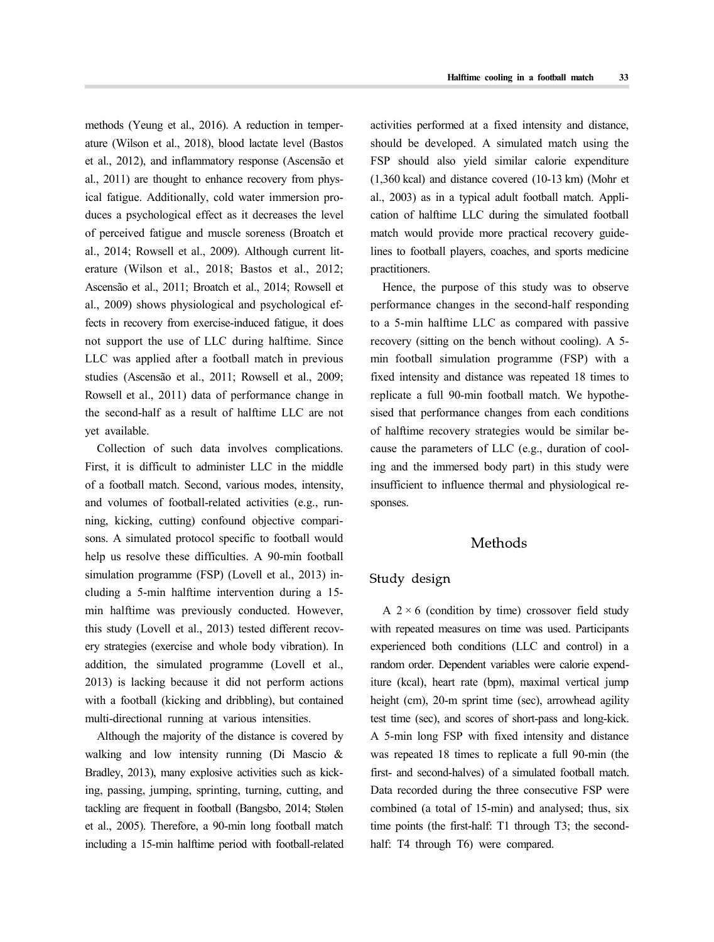methods (Yeung et al., 2016). A reduction in temper ature (Wilson et al., 2018), blood lactate level (Bastos et al., 2012), and inflammatory response (Ascensão et al., 2011) are thought to enhance recovery from physical fatigue. Additionally, cold water immersion pro duces a psychological effect as it decreases the level of perceived fatigue and muscle soreness (Broatch et al., 2014; Rowsell et al., 2009). Although current lit erature (Wilson et al., 2018; Bastos et al., 2012; Ascensão et al., 2011; Broatch et al., 2014; Rowsell et al., 2009) shows physiological and psychological effects in recovery from exercise-induced fatigue, it does not support the use of LLC during halftime. Since LLC was applied after a football match in previous studies (Ascensão et al., 2011; Rowsell et al., 2009; Rowsell et al., 2011) data of performance change in the second-half as a result of halftime LLC are not yet available.

Collection of such data involves complications. First, it is difficult to administer LLC in the middle of a football match. Second, various modes, intensity, and volumes of football-related activities (e.g., run ning, kicking, cutting) confound objective compari sons. A simulated protocol specific to football would help us resolve these difficulties. A 90-min football simulation programme (FSP) (Lovell et al., 2013) in cluding a 5-min halftime intervention during a 15 min halftime was previously conducted. However, this study (Lovell et al., 2013) tested different recov ery strategies (exercise and whole body vibration). In addition, the simulated programme (Lovell et al., 2013) is lacking because it did not perform actions with a football (kicking and dribbling), but contained multi-directional running at various intensities.

Although the majority of the distance is covered by walking and low intensity running (Di Mascio & Bradley, 2013), many explosive activities such as kicking, passing, jumping, sprinting, turning, cutting, and tackling are frequent in football (Bangsbo, 2014; Stølen et al., 2005). Therefore, a 90-min long football match including a 15-min halftime period with football-related activities performed at a fixed intensity and distance, should be developed. A simulated match using the FSP should also yield similar calorie expenditure (1,360 kcal) and distance covered (10-13 km) (Mohr et al., 2003) as in a typical adult football match. Appli cation of halftime LLC during the simulated football match would provide more practical recovery guidelines to football players, coaches, and sports medicine practitioners.

Hence, the purpose of this study was to observe performance changes in the second-half responding to a 5-min halftime LLC as compared with passive recovery (sitting on the bench without cooling). A 5 min football simulation programme (FSP) with a fixed intensity and distance was repeated 18 times to replicate a full 90-min football match. We hypothe sised that performance changes from each conditions of halftime recovery strategies would be similar be cause the parameters of LLC (e.g., duration of cooling and the immersed body part) in this study were insufficient to influence thermal and physiological re sponses.

## Methods

## Study design

A  $2 \times 6$  (condition by time) crossover field study with repeated measures on time was used. Participants experienced both conditions (LLC and control) in a random order. Dependent variables were calorie expenditure (kcal), heart rate (bpm), maximal vertical jump height (cm), 20-m sprint time (sec), arrowhead agility test time (sec), and scores of short-pass and long-kick. A 5-min long FSP with fixed intensity and distance was repeated 18 times to replicate a full 90-min (the first- and second-halves) of a simulated football match. Data recorded during the three consecutive FSP were combined (a total of 15-min) and analysed; thus, six time points (the first-half: T1 through T3; the secondhalf: T4 through T6) were compared.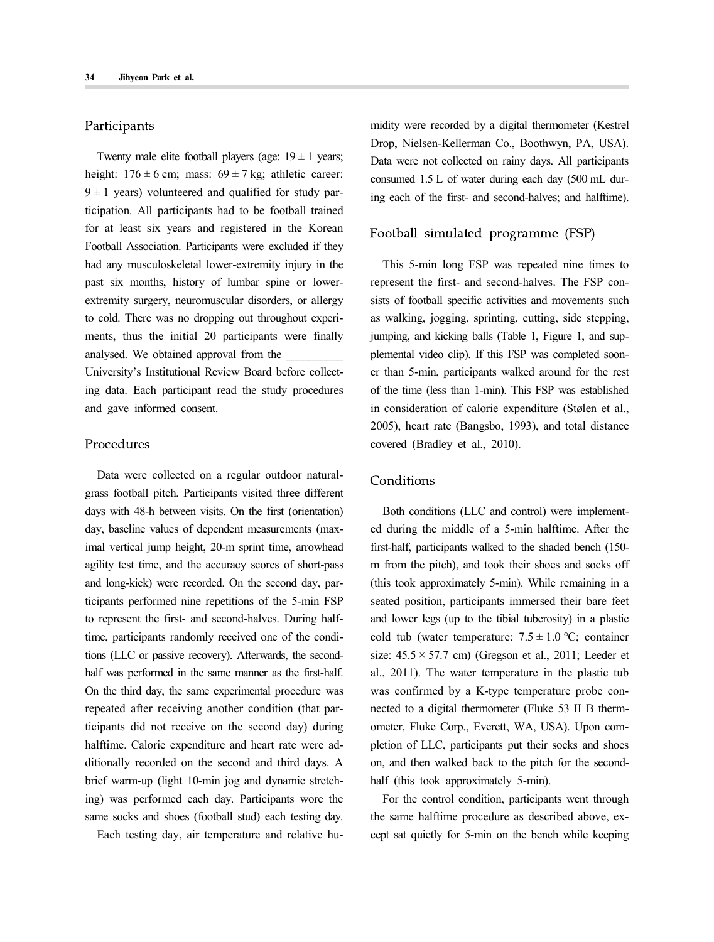#### Participants

Twenty male elite football players (age:  $19 \pm 1$  years; height:  $176 \pm 6$  cm; mass:  $69 \pm 7$  kg; athletic career:  $9 \pm 1$  years) volunteered and qualified for study participation. All participants had to be football trained for at least six years and registered in the Korean Football Association. Participants were excluded if they had any musculoskeletal lower-extremity injury in the past six months, history of lumbar spine or lowerextremity surgery, neuromuscular disorders, or allergy to cold. There was no dropping out throughout experi ments, thus the initial 20 participants were finally analysed. We obtained approval from the \_\_\_\_\_\_\_\_\_\_ University's Institutional Review Board before collecting data. Each participant read the study procedures and gave informed consent.

## Procedures

Data were collected on a regular outdoor natural grass football pitch. Participants visited three different days with 48-h between visits. On the first (orientation) day, baseline values of dependent measurements (maximal vertical jump height, 20-m sprint time, arrowhead agility test time, and the accuracy scores of short-pass and long-kick) were recorded. On the second day, participants performed nine repetitions of the 5-min FSP to represent the first- and second-halves. During halftime, participants randomly received one of the conditions (LLC or passive recovery). Afterwards, the secondhalf was performed in the same manner as the first-half. On the third day, the same experimental procedure was repeated after receiving another condition (that participants did not receive on the second day) during halftime. Calorie expenditure and heart rate were ad ditionally recorded on the second and third days. A brief warm-up (light 10-min jog and dynamic stretching) was performed each day. Participants wore the same socks and shoes (football stud) each testing day.

Each testing day, air temperature and relative hu-

midity were recorded by a digital thermometer (Kestrel Drop, Nielsen-Kellerman Co., Boothwyn, PA, USA). Data were not collected on rainy days. All participants consumed 1.5 L of water during each day (500 mL during each of the first- and second-halves; and halftime).

## Football simulated programme (FSP)

This 5-min long FSP was repeated nine times to represent the first- and second-halves. The FSP con sists of football specific activities and movements such as walking, jogging, sprinting, cutting, side stepping, jumping, and kicking balls (Table 1, Figure 1, and sup plemental video clip). If this FSP was completed soon er than 5-min, participants walked around for the rest of the time (less than 1-min). This FSP was established in consideration of calorie expenditure (Stølen et al., 2005), heart rate (Bangsbo, 1993), and total distance covered (Bradley et al., 2010).

## Conditions

Both conditions (LLC and control) were implement ed during the middle of a 5-min halftime. After the first-half, participants walked to the shaded bench (150 m from the pitch), and took their shoes and socks off (this took approximately 5-min). While remaining in a seated position, participants immersed their bare feet and lower legs (up to the tibial tuberosity) in a plastic cold tub (water temperature:  $7.5 \pm 1.0$  °C; container size:  $45.5 \times 57.7$  cm) (Gregson et al., 2011; Leeder et al., 2011). The water temperature in the plastic tub was confirmed by a K-type temperature probe con nected to a digital thermometer (Fluke 53 II B therm ometer, Fluke Corp., Everett, WA, USA). Upon com pletion of LLC, participants put their socks and shoes on, and then walked back to the pitch for the second half (this took approximately 5-min).

For the control condition, participants went through the same halftime procedure as described above, ex cept sat quietly for 5-min on the bench while keeping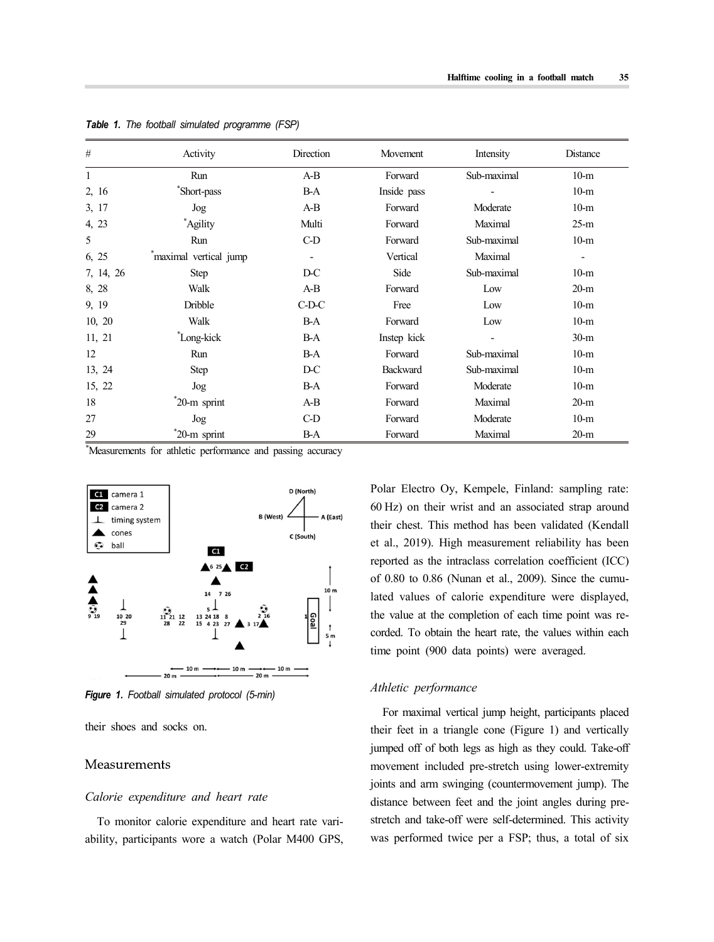| #            | Activity              | Direction | Movement    | Intensity   | Distance                 |
|--------------|-----------------------|-----------|-------------|-------------|--------------------------|
| $\mathbf{1}$ | Run                   | $A-B$     | Forward     | Sub-maximal | $10-m$                   |
| 2, 16        | *Short-pass           | B-A       | Inside pass |             | $10-m$                   |
| 3, 17        | Jog                   | $A-B$     | Forward     | Moderate    | $10-m$                   |
| 4, 23        | *Agility              | Multi     | Forward     | Maximal     | $25-m$                   |
| 5            | Run                   | $C-D$     | Forward     | Sub-maximal | $10-m$                   |
| 6, 25        | maximal vertical jump |           | Vertical    | Maximal     | $\overline{\phantom{0}}$ |
| 7, 14, 26    | Step                  | $D-C$     | Side        | Sub-maximal | $10-m$                   |
| 8, 28        | Walk                  | $A-B$     | Forward     | Low         | $20-m$                   |
| 9, 19        | Dribble               | $C$ -D-C  | Free        | Low         | $10-m$                   |
| 10, 20       | Walk                  | $B-A$     | Forward     | Low         | $10-m$                   |
| 11, 21       | Long-kick             | $B-A$     | Instep kick |             | $30-m$                   |
| 12           | Run                   | $B-A$     | Forward     | Sub-maximal | $10-m$                   |
| 13, 24       | <b>Step</b>           | $D-C$     | Backward    | Sub-maximal | $10-m$                   |
| 15, 22       | Jog                   | $B-A$     | Forward     | Moderate    | $10-m$                   |
| 18           | $20-m$ sprint         | $A-B$     | Forward     | Maximal     | $20-m$                   |
| 27           | Jog                   | $C-D$     | Forward     | Moderate    | $10-m$                   |
| 29           | *20-m sprint          | $B-A$     | Forward     | Maximal     | $20-m$                   |

*Table 1. The football simulated programme (FSP)*

\*Measurements for athletic performance and passing accuracy



*Figure 1. Football simulated protocol (5-min)*

their shoes and socks on.

#### Measurements

#### *Calorie expenditure and heart rate*

To monitor calorie expenditure and heart rate vari ability, participants wore a watch (Polar M400 GPS, Polar Electro Oy, Kempele, Finland: sampling rate: 60 Hz) on their wrist and an associated strap around their chest. This method has been validated (Kendall et al., 2019). High measurement reliability has been reported as the intraclass correlation coefficient (ICC) of 0.80 to 0.86 (Nunan et al., 2009). Since the cumulated values of calorie expenditure were displayed, the value at the completion of each time point was re corded. To obtain the heart rate, the values within each time point (900 data points) were averaged.

#### *Athletic performance*

For maximal vertical jump height, participants placed their feet in a triangle cone (Figure 1) and vertically jumped off of both legs as high as they could. Take-off movement included pre-stretch using lower-extremity joints and arm swinging (countermovement jump). The distance between feet and the joint angles during prestretch and take-off were self-determined. This activity was performed twice per a FSP; thus, a total of six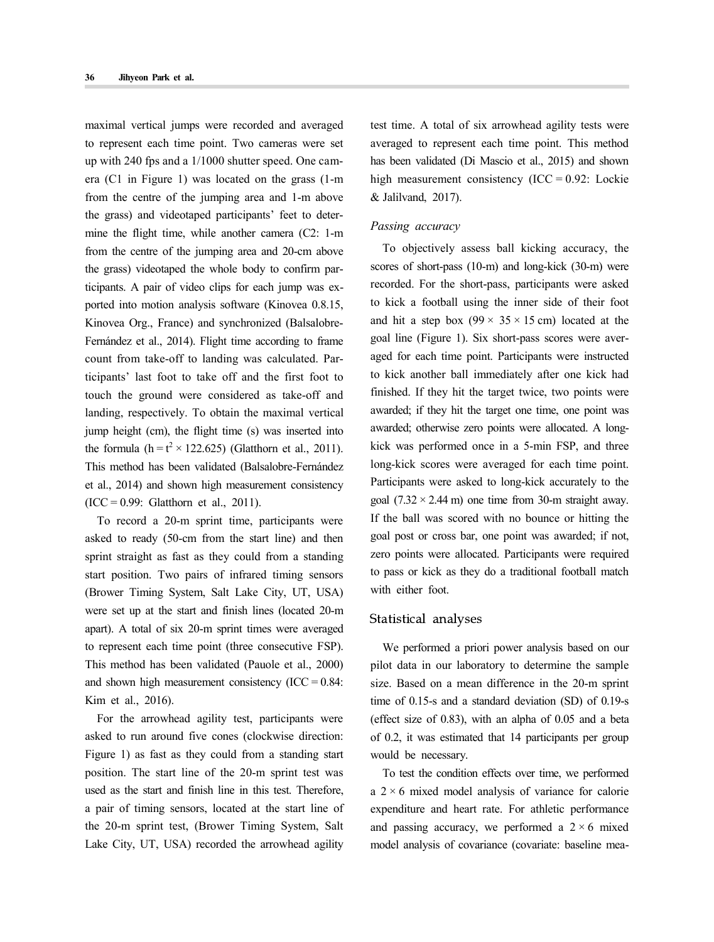maximal vertical jumps were recorded and averaged to represent each time point. Two cameras were set up with 240 fps and a 1/1000 shutter speed. One cam era (C1 in Figure 1) was located on the grass (1-m from the centre of the jumping area and 1-m above the grass) and videotaped participants' feet to deter mine the flight time, while another camera (C2: 1-m from the centre of the jumping area and 20-cm above the grass) videotaped the whole body to confirm participants. A pair of video clips for each jump was ex ported into motion analysis software (Kinovea 0.8.15, Kinovea Org., France) and synchronized (Balsalobre-Fernández et al., 2014). Flight time according to frame count from take-off to landing was calculated. Participants' last foot to take off and the first foot to touch the ground were considered as take-off and landing, respectively. To obtain the maximal vertical jump height (cm), the flight time (s) was inserted into the formula  $(h = t^2 \times 122.625)$  (Glatthorn et al., 2011). This method has been validated (Balsalobre-Fernández et al., 2014) and shown high measurement consistency  $(ICC = 0.99: Glatthon et al., 2011).$ 

To record a 20-m sprint time, participants were asked to ready (50-cm from the start line) and then sprint straight as fast as they could from a standing start position. Two pairs of infrared timing sensors (Brower Timing System, Salt Lake City, UT, USA) were set up at the start and finish lines (located 20-m apart). A total of six 20-m sprint times were averaged to represent each time point (three consecutive FSP). This method has been validated (Pauole et al., 2000) and shown high measurement consistency (ICC =  $0.84$ : Kim et al., 2016).

For the arrowhead agility test, participants were asked to run around five cones (clockwise direction: Figure 1) as fast as they could from a standing start position. The start line of the 20-m sprint test was used as the start and finish line in this test. Therefore, a pair of timing sensors, located at the start line of the 20-m sprint test, (Brower Timing System, Salt Lake City, UT, USA) recorded the arrowhead agility test time. A total of six arrowhead agility tests were averaged to represent each time point. This method has been validated (Di Mascio et al., 2015) and shown high measurement consistency (ICC =  $0.92$ : Lockie & Jalilvand, 2017).

#### *Passing accuracy*

To objectively assess ball kicking accuracy, the scores of short-pass (10-m) and long-kick (30-m) were recorded. For the short-pass, participants were asked to kick a football using the inner side of their foot and hit a step box  $(99 \times 35 \times 15 \text{ cm})$  located at the goal line (Figure 1). Six short-pass scores were aver aged for each time point. Participants were instructed to kick another ball immediately after one kick had finished. If they hit the target twice, two points were awarded; if they hit the target one time, one point was awarded; otherwise zero points were allocated. A long kick was performed once in a 5-min FSP, and three long-kick scores were averaged for each time point. Participants were asked to long-kick accurately to the goal  $(7.32 \times 2.44 \text{ m})$  one time from 30-m straight away. If the ball was scored with no bounce or hitting the goal post or cross bar, one point was awarded; if not, zero points were allocated. Participants were required to pass or kick as they do a traditional football match with either foot.

#### Statistical analyses

We performed a priori power analysis based on our pilot data in our laboratory to determine the sample size. Based on a mean difference in the 20-m sprint time of 0.15-s and a standard deviation (SD) of 0.19-s (effect size of 0.83), with an alpha of 0.05 and a beta of 0.2, it was estimated that 14 participants per group would be necessary.

To test the condition effects over time, we performed a  $2 \times 6$  mixed model analysis of variance for calorie expenditure and heart rate. For athletic performance and passing accuracy, we performed a  $2 \times 6$  mixed model analysis of covariance (covariate: baseline mea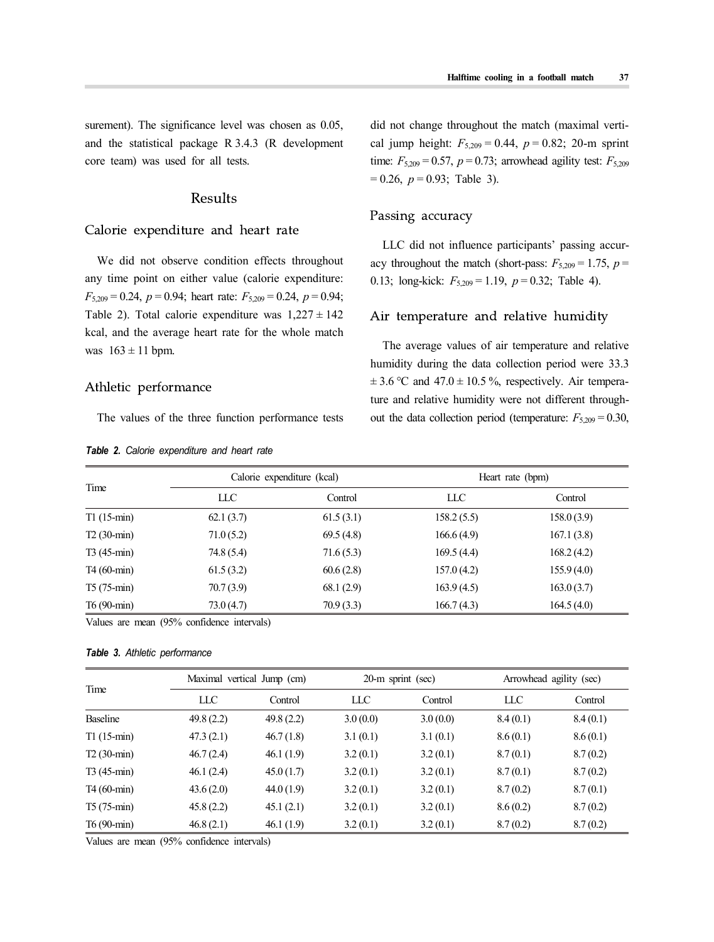surement). The significance level was chosen as 0.05, and the statistical package R 3.4.3 (R development core team) was used for all tests.

# Results

# Calorie expenditure and heart rate

We did not observe condition effects throughout any time point on either value (calorie expenditure:  $F_{5,209} = 0.24$ ,  $p = 0.94$ ; heart rate:  $F_{5,209} = 0.24$ ,  $p = 0.94$ ; Table 2). Total calorie expenditure was  $1,227 \pm 142$ kcal, and the average heart rate for the whole match was  $163 \pm 11$  bpm.

#### Athletic performance

The values of the three function performance tests

|  |  | <b>Table 2.</b> Calorie expenditure and heart rate |  |  |  |  |
|--|--|----------------------------------------------------|--|--|--|--|
|--|--|----------------------------------------------------|--|--|--|--|

did not change throughout the match (maximal verti cal jump height:  $F_{5,209} = 0.44$ ,  $p = 0.82$ ; 20-m sprint time:  $F_{5,209} = 0.57$ ,  $p = 0.73$ ; arrowhead agility test:  $F_{5,209}$  $= 0.26$ ,  $p = 0.93$ ; Table 3).

#### Passing accuracy

LLC did not influence participants' passing accur acy throughout the match (short-pass:  $F_{5,209} = 1.75$ ,  $p =$ 0.13; long-kick: *F*5,209 = 1.19, *p* = 0.32; Table 4).

#### Air temperature and relative humidity

The average values of air temperature and relative humidity during the data collection period were 33.3  $\pm$  3.6 °C and 47.0  $\pm$  10.5 %, respectively. Air temperature and relative humidity were not different through out the data collection period (temperature:  $F_{5,209} = 0.30$ ,

|              |           | Calorie expenditure (kcal) | Heart rate (bpm) |            |  |
|--------------|-----------|----------------------------|------------------|------------|--|
| Time         | LLC       | Control                    | LLC              | Control    |  |
| $T1(15-min)$ | 62.1(3.7) | 61.5(3.1)                  | 158.2(5.5)       | 158.0(3.9) |  |
| $T2(30-min)$ | 71.0(5.2) | 69.5(4.8)                  | 166.6(4.9)       | 167.1(3.8) |  |
| $T3(45-min)$ | 74.8(5.4) | 71.6(5.3)                  | 169.5(4.4)       | 168.2(4.2) |  |
| T4 (60-min)  | 61.5(3.2) | 60.6(2.8)                  | 157.0(4.2)       | 155.9(4.0) |  |
| $T5(75-min)$ | 70.7(3.9) | 68.1 (2.9)                 | 163.9(4.5)       | 163.0(3.7) |  |
| $T6(90-min)$ | 73.0(4.7) | 70.9(3.3)                  | 166.7(4.3)       | 164.5(4.0) |  |

Values are mean (95% confidence intervals)

#### *Table 3. Athletic performance*

| Time           | Maximal vertical Jump (cm) |           | 20-m sprint (sec) |          | Arrowhead agility (sec) |          |
|----------------|----------------------------|-----------|-------------------|----------|-------------------------|----------|
|                | LLC                        | Control   | LLC               | Control  | LLC                     | Control  |
| Baseline       | 49.8(2.2)                  | 49.8(2.2) | 3.0(0.0)          | 3.0(0.0) | 8.4(0.1)                | 8.4(0.1) |
| $T1(15-min)$   | 47.3(2.1)                  | 46.7(1.8) | 3.1(0.1)          | 3.1(0.1) | 8.6(0.1)                | 8.6(0.1) |
| $T2(30-min)$   | 46.7(2.4)                  | 46.1(1.9) | 3.2(0.1)          | 3.2(0.1) | 8.7(0.1)                | 8.7(0.2) |
| $T3(45-min)$   | 46.1(2.4)                  | 45.0(1.7) | 3.2(0.1)          | 3.2(0.1) | 8.7(0.1)                | 8.7(0.2) |
| $T4(60 - min)$ | 43.6(2.0)                  | 44.0(1.9) | 3.2(0.1)          | 3.2(0.1) | 8.7(0.2)                | 8.7(0.1) |
| $T5(75-min)$   | 45.8(2.2)                  | 45.1(2.1) | 3.2(0.1)          | 3.2(0.1) | 8.6(0.2)                | 8.7(0.2) |
| T6 (90-min)    | 46.8(2.1)                  | 46.1(1.9) | 3.2(0.1)          | 3.2(0.1) | 8.7(0.2)                | 8.7(0.2) |

Values are mean (95% confidence intervals)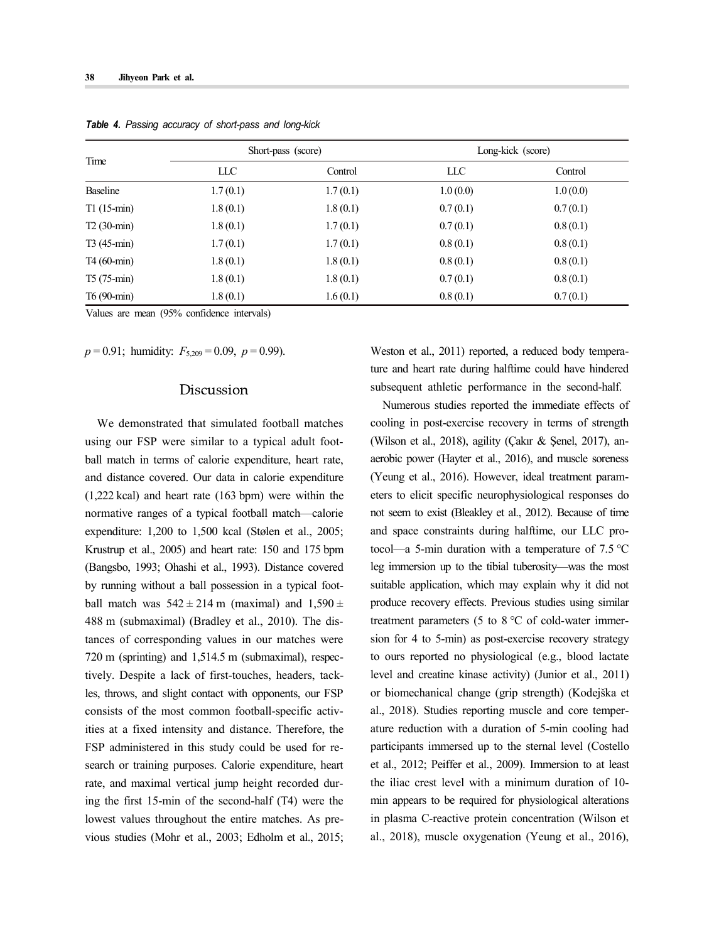|              |          | Short-pass (score) | Long-kick (score) |          |  |
|--------------|----------|--------------------|-------------------|----------|--|
| Time         | LLC      | Control            | LLC               | Control  |  |
| Baseline     | 1.7(0.1) | 1.7(0.1)           | 1.0(0.0)          | 1.0(0.0) |  |
| $T1(15-min)$ | 1.8(0.1) | 1.8(0.1)           | 0.7(0.1)          | 0.7(0.1) |  |
| $T2(30-min)$ | 1.8(0.1) | 1.7(0.1)           | 0.7(0.1)          | 0.8(0.1) |  |
| $T3(45-min)$ | 1.7(0.1) | 1.7(0.1)           | 0.8(0.1)          | 0.8(0.1) |  |
| T4 (60-min)  | 1.8(0.1) | 1.8(0.1)           | 0.8(0.1)          | 0.8(0.1) |  |
| $T5(75-min)$ | 1.8(0.1) | 1.8(0.1)           | 0.7(0.1)          | 0.8(0.1) |  |
| T6 (90-min)  | 1.8(0.1) | 1.6(0.1)           | 0.8(0.1)          | 0.7(0.1) |  |

*Table 4. Passing accuracy of short-pass and long-kick*

Values are mean (95% confidence intervals)

 $p = 0.91$ ; humidity:  $F_{5,209} = 0.09$ ,  $p = 0.99$ ).

# Discussion

We demonstrated that simulated football matches using our FSP were similar to a typical adult foot ball match in terms of calorie expenditure, heart rate, and distance covered. Our data in calorie expenditure (1,222 kcal) and heart rate (163 bpm) were within the normative ranges of a typical football match—calorie expenditure: 1,200 to 1,500 kcal (Stølen et al., 2005; Krustrup et al., 2005) and heart rate: 150 and 175 bpm (Bangsbo, 1993; Ohashi et al., 1993). Distance covered by running without a ball possession in a typical foot ball match was  $542 \pm 214$  m (maximal) and  $1,590 \pm$ 488 m (submaximal) (Bradley et al., 2010). The distances of corresponding values in our matches were 720 m (sprinting) and 1,514.5 m (submaximal), respectively. Despite a lack of first-touches, headers, tackles, throws, and slight contact with opponents, our FSP consists of the most common football-specific activities at a fixed intensity and distance. Therefore, the FSP administered in this study could be used for re search or training purposes. Calorie expenditure, heart rate, and maximal vertical jump height recorded during the first 15-min of the second-half (T4) were the lowest values throughout the entire matches. As pre vious studies (Mohr et al., 2003; Edholm et al., 2015; Weston et al., 2011) reported, a reduced body temperature and heart rate during halftime could have hindered subsequent athletic performance in the second-half.

Numerous studies reported the immediate effects of cooling in post-exercise recovery in terms of strength (Wilson et al., 2018), agility (Çakır & Şenel, 2017), an aerobic power (Hayter et al., 2016), and muscle soreness (Yeung et al., 2016). However, ideal treatment param eters to elicit specific neurophysiological responses do not seem to exist (Bleakley et al., 2012). Because of time and space constraints during halftime, our LLC protocol—a 5-min duration with a temperature of 7.5 ℃ leg immersion up to the tibial tuberosity—was the most suitable application, which may explain why it did not produce recovery effects. Previous studies using similar treatment parameters (5 to 8 ℃ of cold-water immer sion for 4 to 5-min) as post-exercise recovery strategy to ours reported no physiological (e.g., blood lactate level and creatine kinase activity) (Junior et al., 2011) or biomechanical change (grip strength) (Kodejška et al., 2018). Studies reporting muscle and core temper ature reduction with a duration of 5-min cooling had participants immersed up to the sternal level (Costello et al., 2012; Peiffer et al., 2009). Immersion to at least the iliac crest level with a minimum duration of 10 min appears to be required for physiological alterations in plasma C-reactive protein concentration (Wilson et al., 2018), muscle oxygenation (Yeung et al., 2016),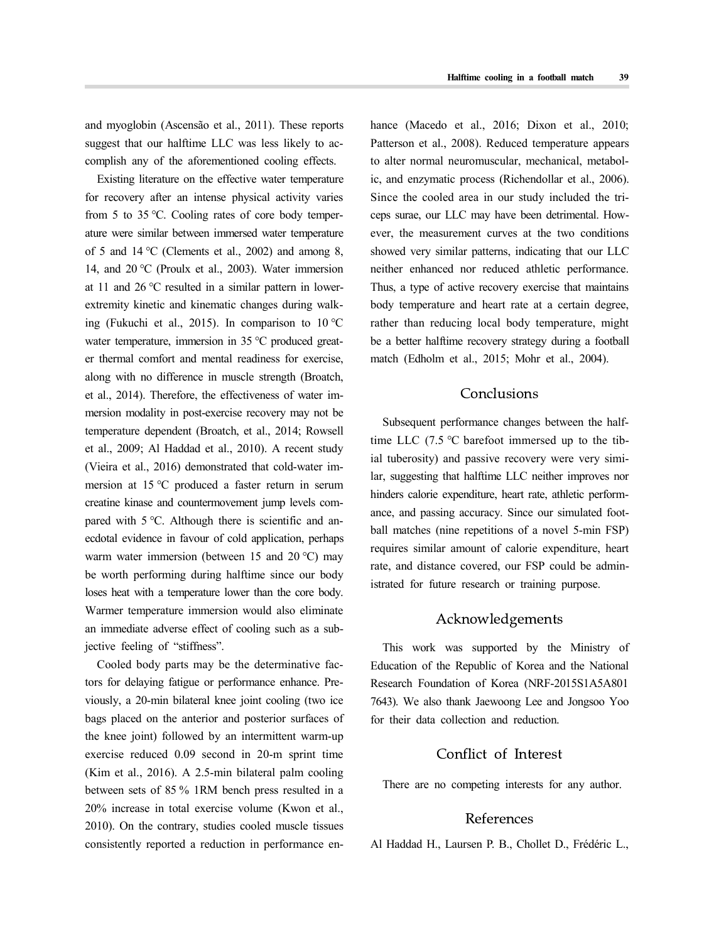and myoglobin (Ascensão et al., 2011). These reports suggest that our halftime LLC was less likely to ac complish any of the aforementioned cooling effects.

Existing literature on the effective water temperature for recovery after an intense physical activity varies from 5 to 35 ℃. Cooling rates of core body temper ature were similar between immersed water temperature of 5 and 14 ℃ (Clements et al., 2002) and among 8, 14, and 20 ℃ (Proulx et al., 2003). Water immersion at 11 and 26 ℃ resulted in a similar pattern in lowerextremity kinetic and kinematic changes during walking (Fukuchi et al., 2015). In comparison to 10 ℃ water temperature, immersion in 35 ℃ produced great er thermal comfort and mental readiness for exercise, along with no difference in muscle strength (Broatch, et al., 2014). Therefore, the effectiveness of water im mersion modality in post-exercise recovery may not be temperature dependent (Broatch, et al., 2014; Rowsell et al., 2009; Al Haddad et al., 2010). A recent study (Vieira et al., 2016) demonstrated that cold-water im mersion at 15 ℃ produced a faster return in serum creatine kinase and countermovement jump levels com pared with 5 ℃. Although there is scientific and an ecdotal evidence in favour of cold application, perhaps warm water immersion (between 15 and 20 ℃) may be worth performing during halftime since our body loses heat with a temperature lower than the core body. Warmer temperature immersion would also eliminate an immediate adverse effect of cooling such as a subjective feeling of "stiffness".

Cooled body parts may be the determinative factors for delaying fatigue or performance enhance. Pre viously, a 20-min bilateral knee joint cooling (two ice bags placed on the anterior and posterior surfaces of the knee joint) followed by an intermittent warm-up exercise reduced 0.09 second in 20-m sprint time (Kim et al., 2016). A 2.5-min bilateral palm cooling between sets of 85 % 1RM bench press resulted in a 20% increase in total exercise volume (Kwon et al., 2010). On the contrary, studies cooled muscle tissues consistently reported a reduction in performance enhance (Macedo et al., 2016; Dixon et al., 2010; Patterson et al., 2008). Reduced temperature appears to alter normal neuromuscular, mechanical, metabolic, and enzymatic process (Richendollar et al., 2006). Since the cooled area in our study included the tri ceps surae, our LLC may have been detrimental. How ever, the measurement curves at the two conditions showed very similar patterns, indicating that our LLC neither enhanced nor reduced athletic performance. Thus, a type of active recovery exercise that maintains body temperature and heart rate at a certain degree, rather than reducing local body temperature, might be a better halftime recovery strategy during a football match (Edholm et al., 2015; Mohr et al., 2004).

# Conclusions

Subsequent performance changes between the halftime LLC (7.5 ℃ barefoot immersed up to the tibial tuberosity) and passive recovery were very similar, suggesting that halftime LLC neither improves nor hinders calorie expenditure, heart rate, athletic perform ance, and passing accuracy. Since our simulated foot ball matches (nine repetitions of a novel 5-min FSP) requires similar amount of calorie expenditure, heart rate, and distance covered, our FSP could be administrated for future research or training purpose.

# Acknowledgements

This work was supported by the Ministry of Education of the Republic of Korea and the National Research Foundation of Korea (NRF-2015S1A5A801 7643). We also thank Jaewoong Lee and Jongsoo Yoo for their data collection and reduction.

# Conflict of Interest

There are no competing interests for any author.

# References

Al Haddad H., Laursen P. B., Chollet D., Frédéric L.,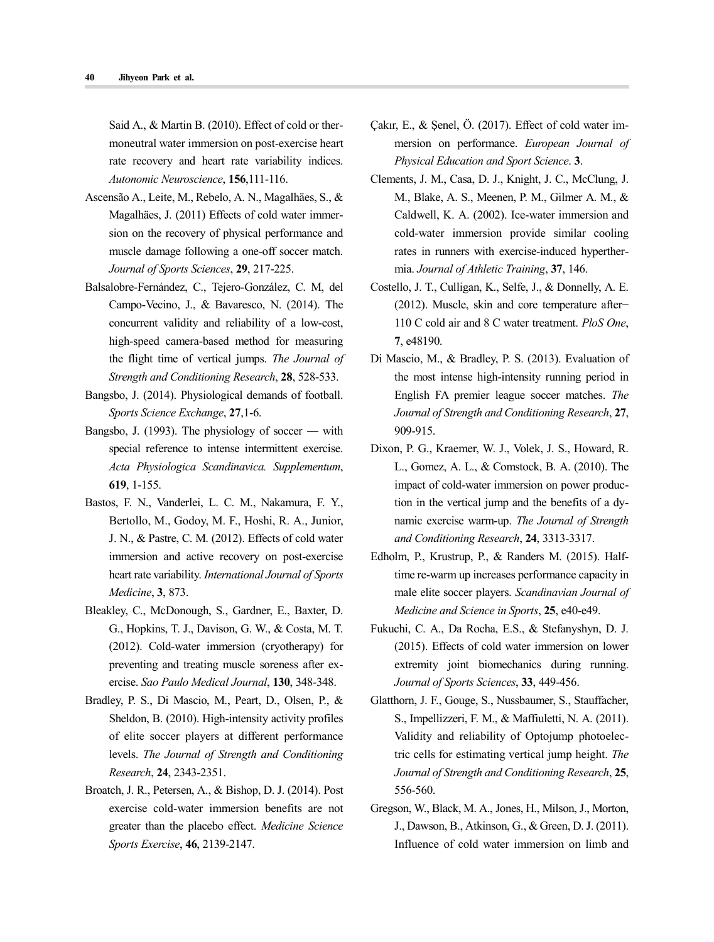Said A., & Martin B. (2010). Effect of cold or ther moneutral water immersion on post-exercise heart rate recovery and heart rate variability indices. *Autonomic Neuroscience*, **156**,111-116.

- Ascensão A., Leite, M., Rebelo, A. N., Magalhäes, S., & Magalhäes, J. (2011) Effects of cold water immer sion on the recovery of physical performance and muscle damage following a one-off soccer match. *Journal of Sports Sciences*, **29**, 217-225.
- Balsalobre-Fernández, C., Tejero-González, C. M, del Campo-Vecino, J., & Bavaresco, N. (2014). The concurrent validity and reliability of a low-cost, high-speed camera-based method for measuring the flight time of vertical jumps. *The Journal of Strength and Conditioning Research*, **28**, 528-533.
- Bangsbo, J. (2014). Physiological demands of football. *Sports Science Exchange*, **27**,1-6.
- Bangsbo, J. (1993). The physiology of soccer ― with special reference to intense intermittent exercise. *Acta Physiologica Scandinavica. Supplementum*, **619**, 1-155.
- Bastos, F. N., Vanderlei, L. C. M., Nakamura, F. Y., Bertollo, M., Godoy, M. F., Hoshi, R. A., Junior, J. N., & Pastre, C. M. (2012). Effects of cold water immersion and active recovery on post-exercise heart rate variability. *International Journal of Sports Medicine*, **3**, 873.
- Bleakley, C., McDonough, S., Gardner, E., Baxter, D. G., Hopkins, T. J., Davison, G. W., & Costa, M. T. (2012). Cold-water immersion (cryotherapy) for preventing and treating muscle soreness after ex ercise. *Sao Paulo Medical Journal*, **130**, 348-348.
- Bradley, P. S., Di Mascio, M., Peart, D., Olsen, P., & Sheldon, B. (2010). High-intensity activity profiles of elite soccer players at different performance levels. *The Journal of Strength and Conditioning Research*, **24**, 2343-2351.
- Broatch, J. R., Petersen, A., & Bishop, D. J. (2014). Post exercise cold-water immersion benefits are not greater than the placebo effect. *Medicine Science Sports Exercise*, **46**, 2139-2147.
- Çakır, E., & Şenel, Ö. (2017). Effect of cold water im mersion on performance. *European Journal of Physical Education and Sport Science*. **3**.
- Clements, J. M., Casa, D. J., Knight, J. C., McClung, J. M., Blake, A. S., Meenen, P. M., Gilmer A. M., & Caldwell, K. A. (2002). Ice-water immersion and cold-water immersion provide similar cooling rates in runners with exercise-induced hyperther mia. *Journal of Athletic Training*, **37**, 146.
- Costello, J. T., Culligan, K., Selfe, J., & Donnelly, A. E. (2012). Muscle, skin and core temperature after− 110 C cold air and 8 C water treatment. *PloS One*, **7**, e48190.
- Di Mascio, M., & Bradley, P. S. (2013). Evaluation of the most intense high-intensity running period in English FA premier league soccer matches. *The Journal of Strength and Conditioning Research*, **27**, 909-915.
- Dixon, P. G., Kraemer, W. J., Volek, J. S., Howard, R. L., Gomez, A. L., & Comstock, B. A. (2010). The impact of cold-water immersion on power production in the vertical jump and the benefits of a dy namic exercise warm-up. *The Journal of Strength and Conditioning Research*, **24**, 3313-3317.
- Edholm, P., Krustrup, P., & Randers M. (2015). Half-<br>time re-warm up increases performance capacity in male elite soccer players. *Scandinavian Journal of Medicine and Science in Sports*, **25**, e40-e49.
- Fukuchi, C. A., Da Rocha, E.S., & Stefanyshyn, D. J. (2015). Effects of cold water immersion on lower extremity joint biomechanics during running. *Journal of Sports Sciences*, **33**, 449-456.
- Glatthorn, J. F., Gouge, S., Nussbaumer, S., Stauffacher, S., Impellizzeri, F. M., & Maffiuletti, N. A. (2011). Validity and reliability of Optojump photoelectric cells for estimating vertical jump height. *The Journal of Strength and Conditioning Research*, **25**, 556-560.
- Gregson, W., Black, M. A., Jones, H., Milson, J., Morton, J., Dawson, B., Atkinson, G., & Green, D. J. (2011). Influence of cold water immersion on limb and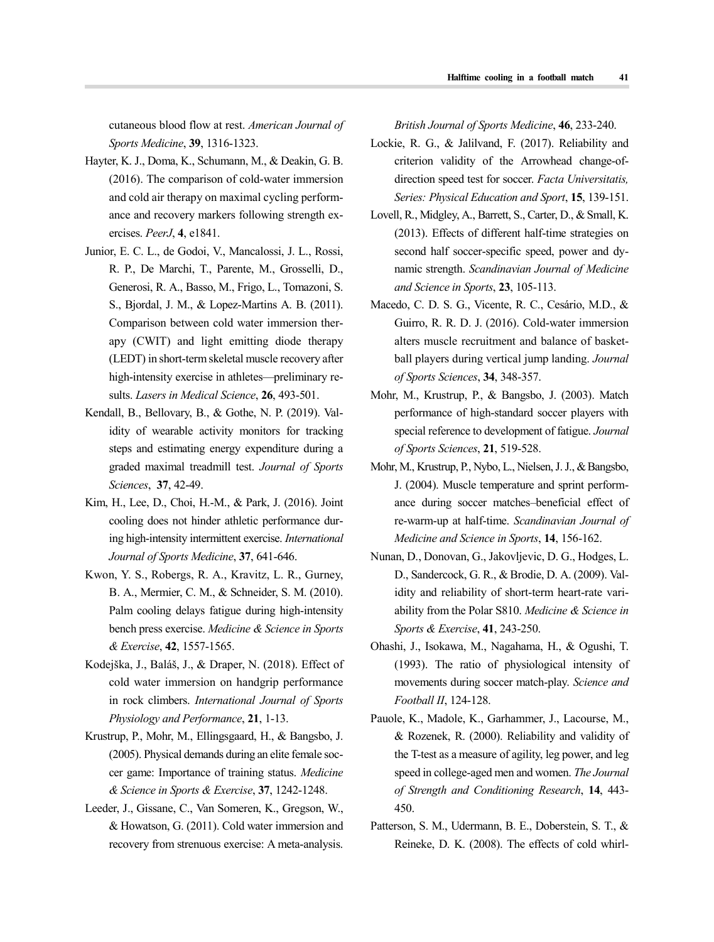cutaneous blood flow at rest. *American Journal of Sports Medicine*, **39**, 1316-1323.

- Hayter, K. J., Doma, K., Schumann, M., & Deakin, G. B. (2016). The comparison of cold-water immersion and cold air therapy on maximal cycling perform ance and recovery markers following strength ex ercises. *PeerJ*, **4**, e1841.
- Junior, E. C. L., de Godoi, V., Mancalossi, J. L., Rossi, R. P., De Marchi, T., Parente, M., Grosselli, D., Generosi, R. A., Basso, M., Frigo, L., Tomazoni, S. S., Bjordal, J. M., & Lopez-Martins A. B. (2011). Comparison between cold water immersion ther apy (CWIT) and light emitting diode therapy (LEDT) in short-term skeletal muscle recovery after high-intensity exercise in athletes—preliminary re sults. *Lasers in Medical Science*, **26**, 493-501.
- Kendall, B., Bellovary, B., & Gothe, N. P. (2019). Validity of wearable activity monitors for tracking steps and estimating energy expenditure during a graded maximal treadmill test. *Journal of Sports Sciences*, **37**, 42-49.
- Kim, H., Lee, D., Choi, H.-M., & Park, J. (2016). Joint cooling does not hinder athletic performance during high-intensity intermittent exercise. *International Journal of Sports Medicine*, **37**, 641-646.
- Kwon, Y. S., Robergs, R. A., Kravitz, L. R., Gurney, B. A., Mermier, C. M., & Schneider, S. M. (2010). Palm cooling delays fatigue during high-intensity bench press exercise. *Medicine & Science in Sports & Exercise*, **42**, 1557-1565.
- Kodejška, J., Baláš, J., & Draper, N. (2018). Effect of cold water immersion on handgrip performance in rock climbers. *International Journal of Sports Physiology and Performance*, **21**, 1-13.
- Krustrup, P., Mohr, M., Ellingsgaard, H., & Bangsbo, J. (2005). Physical demands during an elite female soc cer game: Importance of training status. *Medicine & Science in Sports & Exercise*, **37**, 1242-1248.
- Leeder, J., Gissane, C., Van Someren, K., Gregson, W., & Howatson, G. (2011). Cold water immersion and recovery from strenuous exercise: A meta-analysis.

*British Journal of Sports Medicine*, **46**, 233-240.

- Lockie, R. G., & Jalilvand, F. (2017). Reliability and criterion validity of the Arrowhead change-ofdirection speed test for soccer. *Facta Universitatis, Series: Physical Education and Sport*, **15**, 139-151.
- Lovell, R., Midgley, A., Barrett, S., Carter, D., & Small, K. (2013). Effects of different half-time strategies on second half soccer-specific speed, power and dynamic strength. *Scandinavian Journal of Medicine and Science in Sports*, **23**, 105-113.
- Macedo, C. D. S. G., Vicente, R. C., Cesário, M.D., & Guirro, R. R. D. J. (2016). Cold-water immersion alters muscle recruitment and balance of basket ball players during vertical jump landing. *Journal of Sports Sciences*, **34**, 348-357.
- Mohr, M., Krustrup, P., & Bangsbo, J. (2003). Match performance of high-standard soccer players with special reference to development of fatigue. *Journal of Sports Sciences*, **21**, 519-528.
- Mohr, M., Krustrup, P., Nybo, L., Nielsen, J. J., & Bangsbo, J. (2004). Muscle temperature and sprint perform ance during soccer matches–beneficial effect of re‐warm‐up at half‐time. *Scandinavian Journal of Medicine and Science in Sports*, **14**, 156-162.
- Nunan, D., Donovan, G., Jakovljevic, D. G., Hodges, L. D., Sandercock, G. R., & Brodie, D. A. (2009). Validity and reliability of short-term heart-rate vari ability from the Polar S810. *Medicine & Science in Sports & Exercise*, **41**, 243-250.
- Ohashi, J., Isokawa, M., Nagahama, H., & Ogushi, T. (1993). The ratio of physiological intensity of movements during soccer match-play. *Science and Football II*, 124-128.
- Pauole, K., Madole, K., Garhammer, J., Lacourse, M., & Rozenek, R. (2000). Reliability and validity of the T-test as a measure of agility, leg power, and leg speed in college-aged men and women. *The Journal of Strength and Conditioning Research*, **14**, 443- 450.
- Patterson, S. M., Udermann, B. E., Doberstein, S. T., & Reineke, D. K. (2008). The effects of cold whirl-